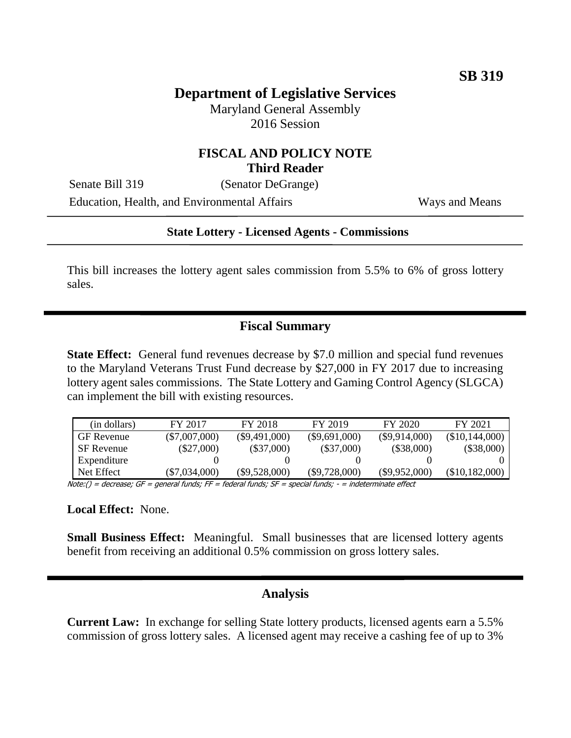# **Department of Legislative Services**

Maryland General Assembly 2016 Session

#### **FISCAL AND POLICY NOTE Third Reader**

Senate Bill 319 (Senator DeGrange)

Education, Health, and Environmental Affairs Ways and Means

#### **State Lottery - Licensed Agents - Commissions**

This bill increases the lottery agent sales commission from 5.5% to 6% of gross lottery sales.

### **Fiscal Summary**

**State Effect:** General fund revenues decrease by \$7.0 million and special fund revenues to the Maryland Veterans Trust Fund decrease by \$27,000 in FY 2017 due to increasing lottery agent sales commissions. The State Lottery and Gaming Control Agency (SLGCA) can implement the bill with existing resources.

| (in dollars)      | FY 2017         | FY 2018         | FY 2019         | FY 2020         | FY 2021        |  |  |
|-------------------|-----------------|-----------------|-----------------|-----------------|----------------|--|--|
| <b>GF</b> Revenue | $(\$7,007,000)$ | $(\$9,491,000)$ | $(\$9,691,000)$ | $(\$9,914,000)$ | (\$10,144,000) |  |  |
| SF Revenue        | $(\$27,000)$    | $(\$37,000)$    | $(\$37,000)$    | $(\$38,000)$    | $(\$38,000)$   |  |  |
| Expenditure       |                 |                 |                 |                 |                |  |  |
| Net Effect        | $(\$7,034,000)$ | $(\$9,528,000)$ | $(\$9,728,000)$ | $(\$9,952,000)$ | (\$10,182,000) |  |  |
|                   |                 |                 |                 |                 |                |  |  |

Note:() = decrease; GF = general funds; FF = federal funds; SF = special funds; - = indeterminate effect

**Local Effect:** None.

**Small Business Effect:** Meaningful. Small businesses that are licensed lottery agents benefit from receiving an additional 0.5% commission on gross lottery sales.

### **Analysis**

**Current Law:** In exchange for selling State lottery products, licensed agents earn a 5.5% commission of gross lottery sales. A licensed agent may receive a cashing fee of up to 3%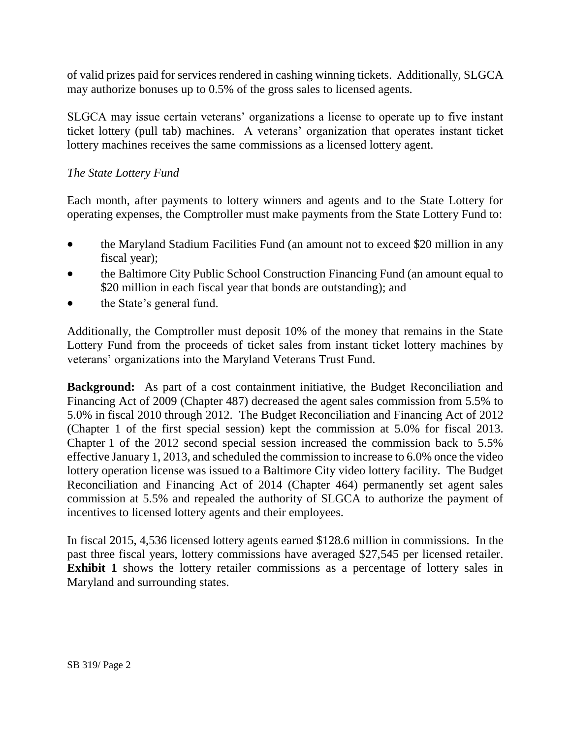of valid prizes paid for services rendered in cashing winning tickets. Additionally, SLGCA may authorize bonuses up to 0.5% of the gross sales to licensed agents.

SLGCA may issue certain veterans' organizations a license to operate up to five instant ticket lottery (pull tab) machines. A veterans' organization that operates instant ticket lottery machines receives the same commissions as a licensed lottery agent.

## *The State Lottery Fund*

Each month, after payments to lottery winners and agents and to the State Lottery for operating expenses, the Comptroller must make payments from the State Lottery Fund to:

- the Maryland Stadium Facilities Fund (an amount not to exceed \$20 million in any fiscal year);
- the Baltimore City Public School Construction Financing Fund (an amount equal to \$20 million in each fiscal year that bonds are outstanding); and
- the State's general fund.

Additionally, the Comptroller must deposit 10% of the money that remains in the State Lottery Fund from the proceeds of ticket sales from instant ticket lottery machines by veterans' organizations into the Maryland Veterans Trust Fund.

**Background:** As part of a cost containment initiative, the Budget Reconciliation and Financing Act of 2009 (Chapter 487) decreased the agent sales commission from 5.5% to 5.0% in fiscal 2010 through 2012. The Budget Reconciliation and Financing Act of 2012 (Chapter 1 of the first special session) kept the commission at 5.0% for fiscal 2013. Chapter 1 of the 2012 second special session increased the commission back to 5.5% effective January 1, 2013, and scheduled the commission to increase to 6.0% once the video lottery operation license was issued to a Baltimore City video lottery facility. The Budget Reconciliation and Financing Act of 2014 (Chapter 464) permanently set agent sales commission at 5.5% and repealed the authority of SLGCA to authorize the payment of incentives to licensed lottery agents and their employees.

In fiscal 2015, 4,536 licensed lottery agents earned \$128.6 million in commissions. In the past three fiscal years, lottery commissions have averaged \$27,545 per licensed retailer. **Exhibit 1** shows the lottery retailer commissions as a percentage of lottery sales in Maryland and surrounding states.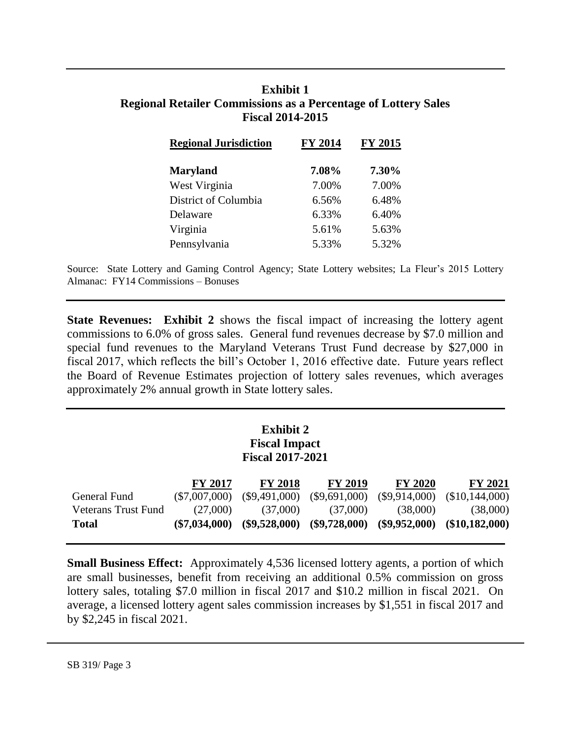## **Exhibit 1 Regional Retailer Commissions as a Percentage of Lottery Sales Fiscal 2014-2015**

| <b>Regional Jurisdiction</b> | FY 2014 | <b>FY 2015</b> |  |
|------------------------------|---------|----------------|--|
| <b>Maryland</b>              | 7.08%   | 7.30%          |  |
| West Virginia                | 7.00%   | 7.00%          |  |
| District of Columbia         | 6.56%   | 6.48%          |  |
| Delaware                     | 6.33%   | 6.40%          |  |
| Virginia                     | 5.61%   | 5.63%          |  |
| Pennsylvania                 | 5.33%   | 5.32%          |  |

Source: State Lottery and Gaming Control Agency; State Lottery websites; La Fleur's 2015 Lottery Almanac: FY14 Commissions – Bonuses

**State Revenues: Exhibit 2** shows the fiscal impact of increasing the lottery agent commissions to 6.0% of gross sales. General fund revenues decrease by \$7.0 million and special fund revenues to the Maryland Veterans Trust Fund decrease by \$27,000 in fiscal 2017, which reflects the bill's October 1, 2016 effective date. Future years reflect the Board of Revenue Estimates projection of lottery sales revenues, which averages approximately 2% annual growth in State lottery sales.

### **Exhibit 2 Fiscal Impact Fiscal 2017-2021**

| General Fund               | <b>FY 2017</b><br>$(\$7,007,000)$ | <b>FY 2018</b><br>$(\$9,491,000)$ | <b>FY 2019</b><br>$(\$9,691,000)$ | <b>FY 2020</b> | <b>FY 2021</b><br>$(\$9,914,000)$ $(\$10,144,000)$ |
|----------------------------|-----------------------------------|-----------------------------------|-----------------------------------|----------------|----------------------------------------------------|
| <b>Veterans Trust Fund</b> | (27,000)                          | (37,000)                          | (37,000)                          | (38,000)       | (38,000)                                           |
| <b>Total</b>               | $(\$7,034,000)$                   |                                   | $(\$9,528,000)$ $(\$9,728,000)$   |                | $(\$9,952,000)$ $(\$10,182,000)$                   |

**Small Business Effect:** Approximately 4,536 licensed lottery agents, a portion of which are small businesses, benefit from receiving an additional 0.5% commission on gross lottery sales, totaling \$7.0 million in fiscal 2017 and \$10.2 million in fiscal 2021. On average, a licensed lottery agent sales commission increases by \$1,551 in fiscal 2017 and by \$2,245 in fiscal 2021.